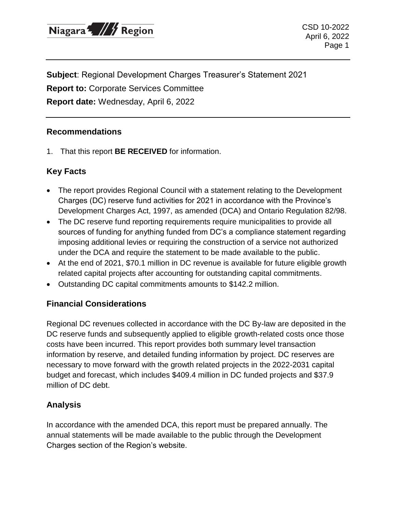

CSD 10-2022 April 6, 2022 Page 1

**Subject**: Regional Development Charges Treasurer's Statement 2021 **Report to:** Corporate Services Committee **Report date:** Wednesday, April 6, 2022

#### **Recommendations**

1. That this report **BE RECEIVED** for information.

## **Key Facts**

- The report provides Regional Council with a statement relating to the Development Charges (DC) reserve fund activities for 2021 in accordance with the Province's Development Charges Act, 1997, as amended (DCA) and Ontario Regulation 82/98.
- The DC reserve fund reporting requirements require municipalities to provide all sources of funding for anything funded from DC's a compliance statement regarding imposing additional levies or requiring the construction of a service not authorized under the DCA and require the statement to be made available to the public.
- At the end of 2021, \$70.1 million in DC revenue is available for future eligible growth related capital projects after accounting for outstanding capital commitments.
- Outstanding DC capital commitments amounts to \$142.2 million.

#### **Financial Considerations**

Regional DC revenues collected in accordance with the DC By-law are deposited in the DC reserve funds and subsequently applied to eligible growth-related costs once those costs have been incurred. This report provides both summary level transaction information by reserve, and detailed funding information by project. DC reserves are necessary to move forward with the growth related projects in the 2022-2031 capital budget and forecast, which includes \$409.4 million in DC funded projects and \$37.9 million of DC debt.

## **Analysis**

In accordance with the amended DCA, this report must be prepared annually. The annual statements will be made available to the public through the Development Charges section of the Region's website.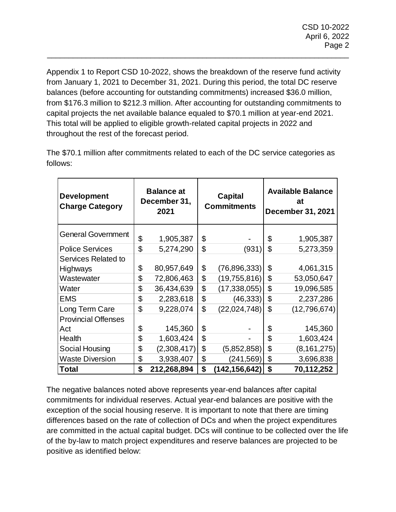Appendix 1 to Report CSD 10-2022, shows the breakdown of the reserve fund activity from January 1, 2021 to December 31, 2021. During this period, the total DC reserve balances (before accounting for outstanding commitments) increased \$36.0 million, from \$176.3 million to \$212.3 million. After accounting for outstanding commitments to capital projects the net available balance equaled to \$70.1 million at year-end 2021. This total will be applied to eligible growth-related capital projects in 2022 and throughout the rest of the forecast period.

\_\_\_\_\_\_\_\_\_\_\_\_\_\_\_\_\_\_\_\_\_\_\_\_\_\_\_\_\_\_\_\_\_\_\_\_\_\_\_\_\_\_\_\_\_\_\_\_\_\_\_\_\_\_\_\_\_\_\_\_\_\_\_\_\_\_\_\_\_\_

| <b>Development</b><br><b>Charge Category</b> | <b>Balance at</b><br>December 31,<br>2021 |             | <b>Capital</b><br><b>Commitments</b> |                 | <b>Available Balance</b><br>at<br><b>December 31, 2021</b> |               |
|----------------------------------------------|-------------------------------------------|-------------|--------------------------------------|-----------------|------------------------------------------------------------|---------------|
| <b>General Government</b>                    | \$                                        | 1,905,387   | \$                                   |                 | \$                                                         | 1,905,387     |
| <b>Police Services</b>                       | \$                                        | 5,274,290   | \$                                   | (931            | \$                                                         | 5,273,359     |
| Services Related to                          |                                           |             |                                      |                 |                                                            |               |
| <b>Highways</b>                              | \$                                        | 80,957,649  | \$                                   | (76,896,333)    | \$                                                         | 4,061,315     |
| Wastewater                                   | \$                                        | 72,806,463  | \$                                   | (19, 755, 816)  | \$                                                         | 53,050,647    |
| Water                                        | \$                                        | 36,434,639  | \$                                   | (17, 338, 055)  | \$                                                         | 19,096,585    |
| <b>EMS</b>                                   | \$                                        | 2,283,618   | \$                                   | (46, 333)       | \$                                                         | 2,237,286     |
| Long Term Care                               | \$                                        | 9,228,074   | \$                                   | (22,024,748)    | \$                                                         | (12,796,674)  |
| <b>Provincial Offenses</b>                   |                                           |             |                                      |                 |                                                            |               |
| Act                                          | \$                                        | 145,360     | \$                                   |                 | \$                                                         | 145,360       |
| Health                                       | \$                                        | 1,603,424   | \$                                   |                 | \$                                                         | 1,603,424     |
| Social Housing                               | \$                                        | (2,308,417) | \$                                   | (5,852,858)     | \$                                                         | (8, 161, 275) |
| <b>Waste Diversion</b>                       | \$                                        | 3,938,407   | \$                                   | (241, 569)      | \$                                                         | 3,696,838     |
| <b>Total</b>                                 | \$                                        | 212,268,894 | \$                                   | (142, 156, 642) | \$                                                         | 70,112,252    |

The \$70.1 million after commitments related to each of the DC service categories as follows:

The negative balances noted above represents year-end balances after capital commitments for individual reserves. Actual year-end balances are positive with the exception of the social housing reserve. It is important to note that there are timing differences based on the rate of collection of DCs and when the project expenditures are committed in the actual capital budget. DCs will continue to be collected over the life of the by-law to match project expenditures and reserve balances are projected to be positive as identified below: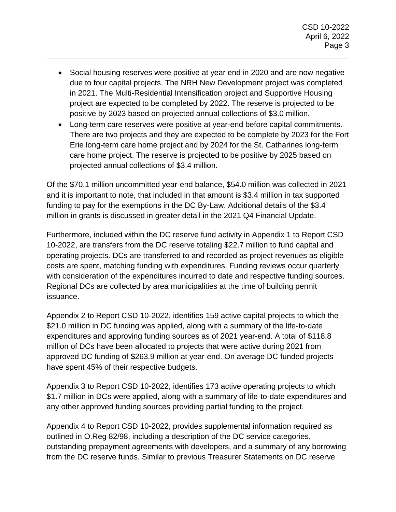Social housing reserves were positive at year end in 2020 and are now negative due to four capital projects. The NRH New Development project was completed in 2021. The Multi-Residential Intensification project and Supportive Housing project are expected to be completed by 2022. The reserve is projected to be positive by 2023 based on projected annual collections of \$3.0 million.

\_\_\_\_\_\_\_\_\_\_\_\_\_\_\_\_\_\_\_\_\_\_\_\_\_\_\_\_\_\_\_\_\_\_\_\_\_\_\_\_\_\_\_\_\_\_\_\_\_\_\_\_\_\_\_\_\_\_\_\_\_\_\_\_\_\_\_\_\_\_

 Long-term care reserves were positive at year-end before capital commitments. There are two projects and they are expected to be complete by 2023 for the Fort Erie long-term care home project and by 2024 for the St. Catharines long-term care home project. The reserve is projected to be positive by 2025 based on projected annual collections of \$3.4 million.

Of the \$70.1 million uncommitted year-end balance, \$54.0 million was collected in 2021 and it is important to note, that included in that amount is \$3.4 million in tax supported funding to pay for the exemptions in the DC By-Law. Additional details of the \$3.4 million in grants is discussed in greater detail in the 2021 Q4 Financial Update.

Furthermore, included within the DC reserve fund activity in Appendix 1 to Report CSD 10-2022, are transfers from the DC reserve totaling \$22.7 million to fund capital and operating projects. DCs are transferred to and recorded as project revenues as eligible costs are spent, matching funding with expenditures. Funding reviews occur quarterly with consideration of the expenditures incurred to date and respective funding sources. Regional DCs are collected by area municipalities at the time of building permit issuance.

Appendix 2 to Report CSD 10-2022, identifies 159 active capital projects to which the \$21.0 million in DC funding was applied, along with a summary of the life-to-date expenditures and approving funding sources as of 2021 year-end. A total of \$118.8 million of DCs have been allocated to projects that were active during 2021 from approved DC funding of \$263.9 million at year-end. On average DC funded projects have spent 45% of their respective budgets.

Appendix 3 to Report CSD 10-2022, identifies 173 active operating projects to which \$1.7 million in DCs were applied, along with a summary of life-to-date expenditures and any other approved funding sources providing partial funding to the project.

Appendix 4 to Report CSD 10-2022, provides supplemental information required as outlined in O.Reg 82/98, including a description of the DC service categories, outstanding prepayment agreements with developers, and a summary of any borrowing from the DC reserve funds. Similar to previous Treasurer Statements on DC reserve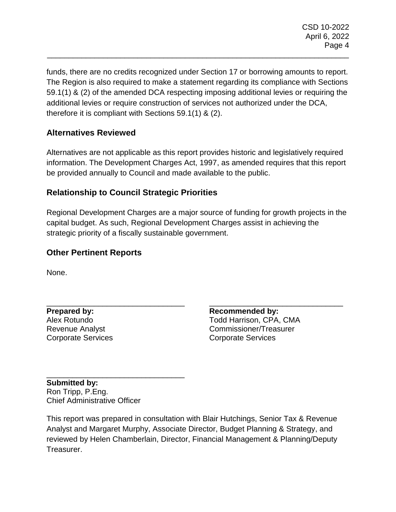funds, there are no credits recognized under Section 17 or borrowing amounts to report. The Region is also required to make a statement regarding its compliance with Sections 59.1(1) & (2) of the amended DCA respecting imposing additional levies or requiring the additional levies or require construction of services not authorized under the DCA, therefore it is compliant with Sections 59.1(1) & (2).

\_\_\_\_\_\_\_\_\_\_\_\_\_\_\_\_\_\_\_\_\_\_\_\_\_\_\_\_\_\_\_\_\_\_\_\_\_\_\_\_\_\_\_\_\_\_\_\_\_\_\_\_\_\_\_\_\_\_\_\_\_\_\_\_\_\_\_\_\_\_

# **Alternatives Reviewed**

Alternatives are not applicable as this report provides historic and legislatively required information. The Development Charges Act, 1997, as amended requires that this report be provided annually to Council and made available to the public.

## **Relationship to Council Strategic Priorities**

Regional Development Charges are a major source of funding for growth projects in the capital budget. As such, Regional Development Charges assist in achieving the strategic priority of a fiscally sustainable government.

# **Other Pertinent Reports**

\_\_\_\_\_\_\_\_\_\_\_\_\_\_\_\_\_\_\_\_\_\_\_\_\_\_\_\_\_\_\_\_

\_\_\_\_\_\_\_\_\_\_\_\_\_\_\_\_\_\_\_\_\_\_\_\_\_\_\_\_\_\_\_\_

None.

**Prepared by:** Alex Rotundo Revenue Analyst Corporate Services

\_\_\_\_\_\_\_\_\_\_\_\_\_\_\_\_\_\_\_\_\_\_\_\_\_\_\_\_\_\_\_ **Recommended by:** Todd Harrison, CPA, CMA Commissioner/Treasurer Corporate Services

**Submitted by:** Ron Tripp, P.Eng. Chief Administrative Officer

This report was prepared in consultation with Blair Hutchings, Senior Tax & Revenue Analyst and Margaret Murphy, Associate Director, Budget Planning & Strategy, and reviewed by Helen Chamberlain, Director, Financial Management & Planning/Deputy Treasurer.